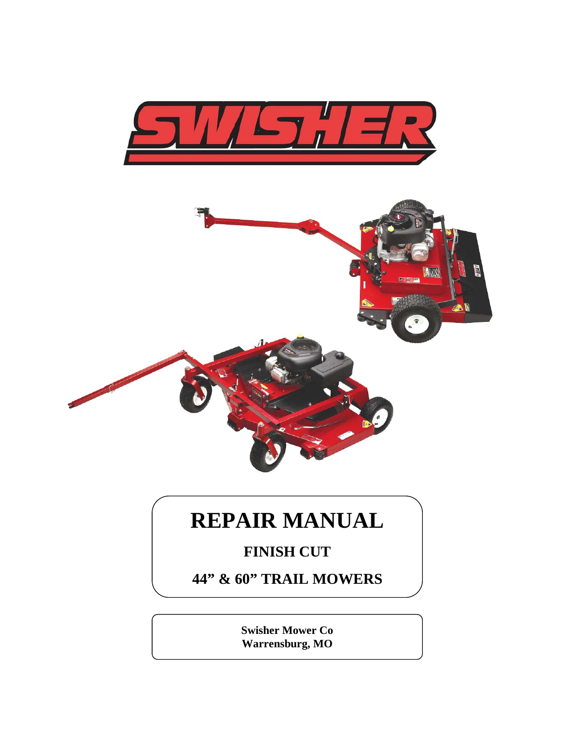



# **REPAIR MANUAL**

### **FINISH CUT**

**44" & 60" TRAIL MOWERS**

**Swisher Mower Co Warrensburg, MO**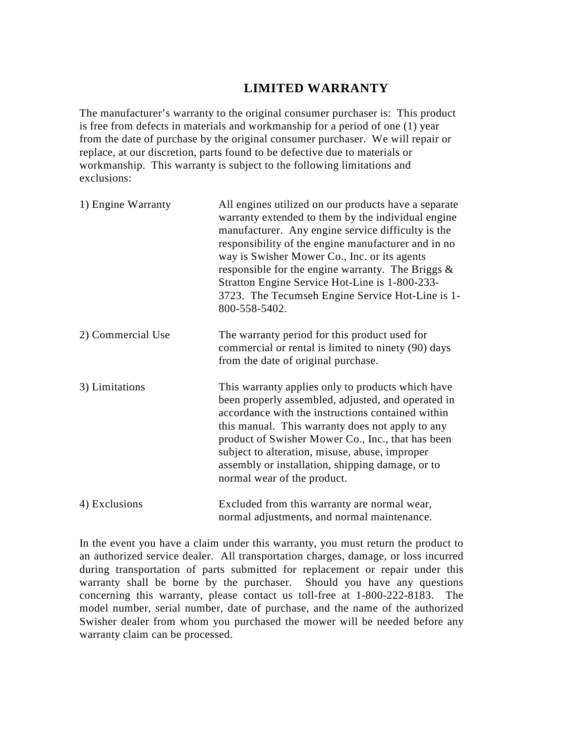#### **LIMITED WARRANTY**

The manufacturer's warranty to the original consumer purchaser is: This product is free from defects in materials and workmanship for a period of one (1) year from the date of purchase by the original consumer purchaser. We will repair or replace, at our discretion, parts found to be defective due to materials or workmanship. This warranty is subject to the following limitations and exclusions:

| 1) Engine Warranty | All engines utilized on our products have a separate<br>warranty extended to them by the individual engine<br>manufacturer. Any engine service difficulty is the<br>responsibility of the engine manufacturer and in no<br>way is Swisher Mower Co., Inc. or its agents<br>responsible for the engine warranty. The Briggs &<br>Stratton Engine Service Hot-Line is 1-800-233-<br>3723. The Tecumseh Engine Service Hot-Line is 1-<br>800-558-5402. |
|--------------------|-----------------------------------------------------------------------------------------------------------------------------------------------------------------------------------------------------------------------------------------------------------------------------------------------------------------------------------------------------------------------------------------------------------------------------------------------------|
| 2) Commercial Use  | The warranty period for this product used for<br>commercial or rental is limited to ninety (90) days<br>from the date of original purchase.                                                                                                                                                                                                                                                                                                         |
| 3) Limitations     | This warranty applies only to products which have<br>been properly assembled, adjusted, and operated in<br>accordance with the instructions contained within<br>this manual. This warranty does not apply to any<br>product of Swisher Mower Co., Inc., that has been<br>subject to alteration, misuse, abuse, improper<br>assembly or installation, shipping damage, or to<br>normal wear of the product.                                          |
| 4) Exclusions      | Excluded from this warranty are normal wear,<br>normal adjustments, and normal maintenance.                                                                                                                                                                                                                                                                                                                                                         |

In the event you have a claim under this warranty, you must return the product to an authorized service dealer. All transportation charges, damage, or loss incurred during transportation of parts submitted for replacement or repair under this warranty shall be borne by the purchaser. Should you have any questions concerning this warranty, please contact us toll-free at 1-800-222-8183. The model number, serial number, date of purchase, and the name of the authorized Swisher dealer from whom you purchased the mower will be needed before any warranty claim can be processed.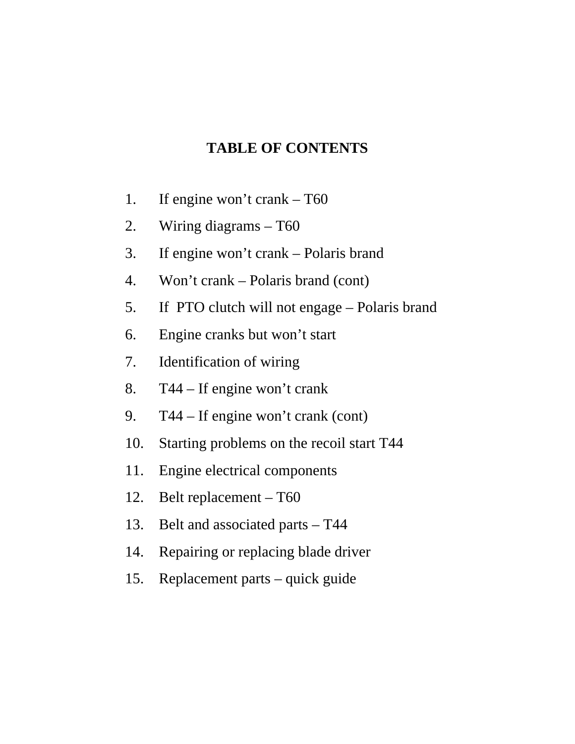### **TABLE OF CONTENTS**

- 1. If engine won't crank T60
- 2. Wiring diagrams T60
- 3. If engine won't crank Polaris brand
- 4. Won't crank Polaris brand (cont)
- 5. If PTO clutch will not engage Polaris brand
- 6. Engine cranks but won't start
- 7. Identification of wiring
- 8. T44 If engine won't crank
- 9. T44 If engine won't crank (cont)
- 10. Starting problems on the recoil start T44
- 11. Engine electrical components
- 12. Belt replacement T60
- 13. Belt and associated parts T44
- 14. Repairing or replacing blade driver
- 15. Replacement parts quick guide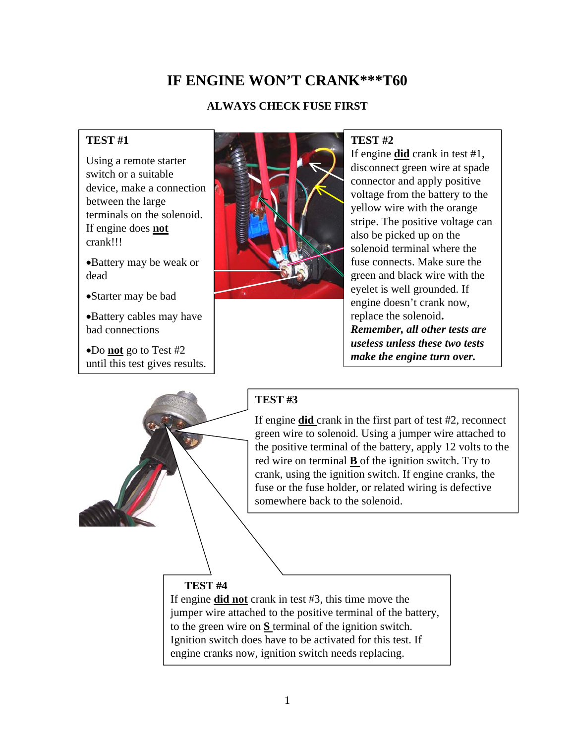### **IF ENGINE WON'T CRANK\*\*\*T60**

#### **ALWAYS CHECK FUSE FIRST**

#### **TEST #1**

Using a remote starter switch or a suitable device, make a connection between the large terminals on the solenoid. If engine does **not** crank!!!

•Battery may be weak or dead

•Starter may be bad

•Battery cables may have bad connections

•Do **not** go to Test #2 until this test gives results.



#### **TEST #2**

If engine **did** crank in test #1, disconnect green wire at spade connector and apply positive voltage from the battery to the yellow wire with the orange stripe. The positive voltage can also be picked up on the solenoid terminal where the fuse connects. Make sure the green and black wire with the eyelet is well grounded. If engine doesn't crank now, replace the solenoid**.** *Remember, all other tests are useless unless these two tests make the engine turn over.*



#### **TEST #3**

If engine **did** crank in the first part of test #2, reconnect green wire to solenoid. Using a jumper wire attached to the positive terminal of the battery, apply 12 volts to the red wire on terminal **B** of the ignition switch. Try to crank, using the ignition switch. If engine cranks, the fuse or the fuse holder, or related wiring is defective somewhere back to the solenoid.

#### **TEST #4**

If engine **did not** crank in test #3, this time move the jumper wire attached to the positive terminal of the battery, to the green wire on **S** terminal of the ignition switch. Ignition switch does have to be activated for this test. If engine cranks now, ignition switch needs replacing.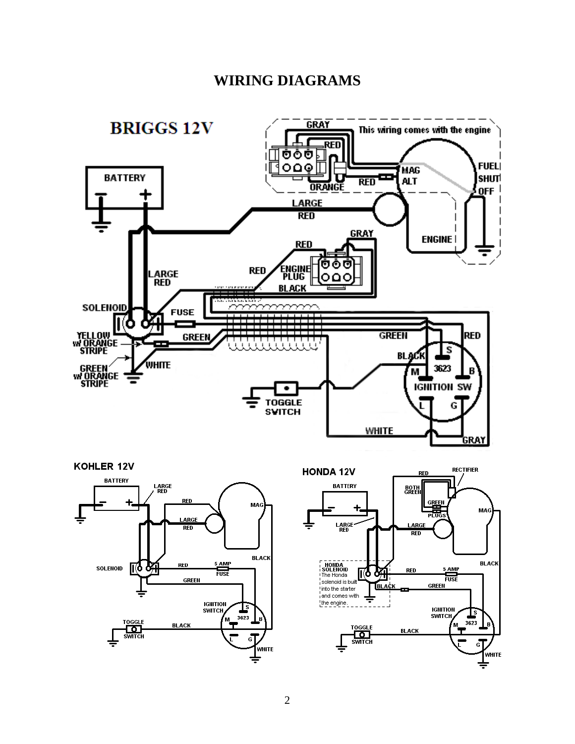### **WIRING DIAGRAMS**







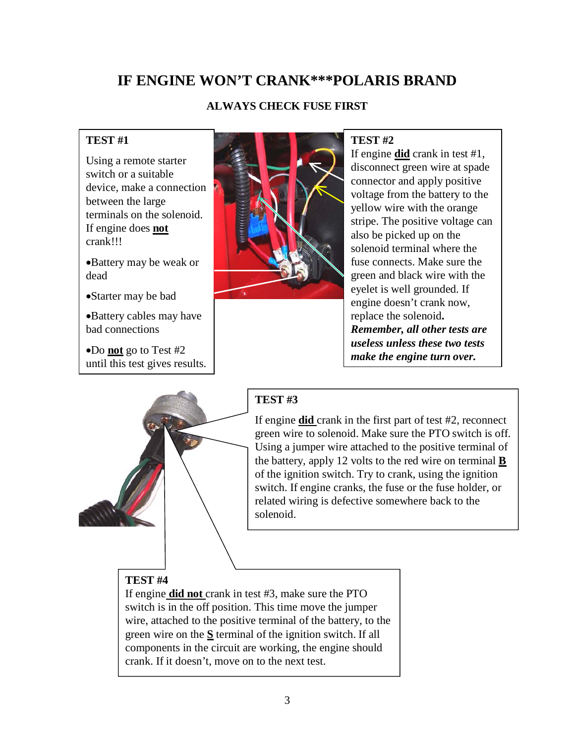### **IF ENGINE WON'T CRANK\*\*\*POLARIS BRAND**

#### **ALWAYS CHECK FUSE FIRST**

#### **TEST #1**

Using a remote starter switch or a suitable device, make a connection between the large terminals on the solenoid. If engine does **not** crank!!!

•Battery may be weak or dead

•Starter may be bad

•Battery cables may have bad connections

•Do **not** go to Test #2 until this test gives results.



#### **TEST #2**

If engine **did** crank in test #1, disconnect green wire at spade connector and apply positive voltage from the battery to the yellow wire with the orange stripe. The positive voltage can also be picked up on the solenoid terminal where the fuse connects. Make sure the green and black wire with the eyelet is well grounded. If engine doesn't crank now, replace the solenoid**.** *Remember, all other tests are useless unless these two tests make the engine turn over.*



#### **TEST #3**

If engine **did** crank in the first part of test #2, reconnect green wire to solenoid. Make sure the PTO switch is off. Using a jumper wire attached to the positive terminal of the battery, apply 12 volts to the red wire on terminal **B**  of the ignition switch. Try to crank, using the ignition switch. If engine cranks, the fuse or the fuse holder, or related wiring is defective somewhere back to the solenoid.

#### **TEST #4**

If engine **did not** crank in test #3, make sure the PTO switch is in the off position. This time move the jumper wire, attached to the positive terminal of the battery, to the green wire on the **S** terminal of the ignition switch. If all components in the circuit are working, the engine should crank. If it doesn't, move on to the next test.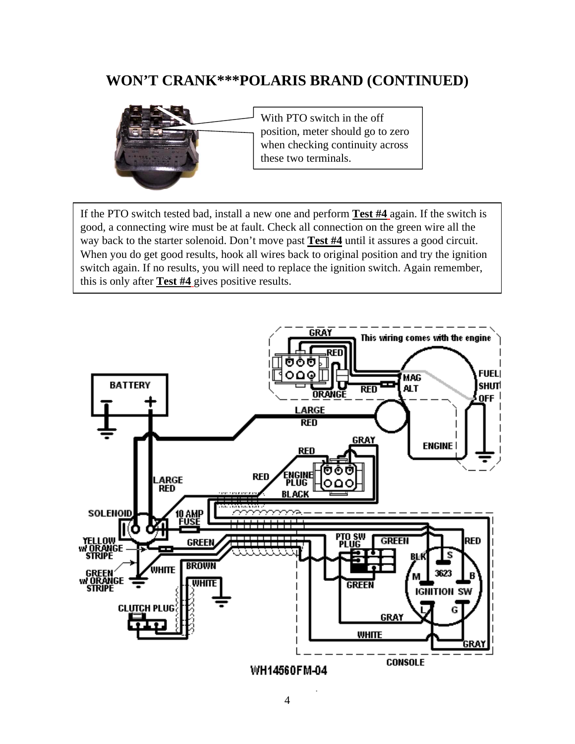### **WON'T CRANK\*\*\*POLARIS BRAND (CONTINUED)**



With PTO switch in the off position, meter should go to zero when checking continuity across these two terminals.

If the PTO switch tested bad, install a new one and perform **Test #4** again. If the switch is good, a connecting wire must be at fault. Check all connection on the green wire all the way back to the starter solenoid. Don't move past **Test #4** until it assures a good circuit. When you do get good results, hook all wires back to original position and try the ignition switch again. If no results, you will need to replace the ignition switch. Again remember, this is only after **Test #4** gives positive results.

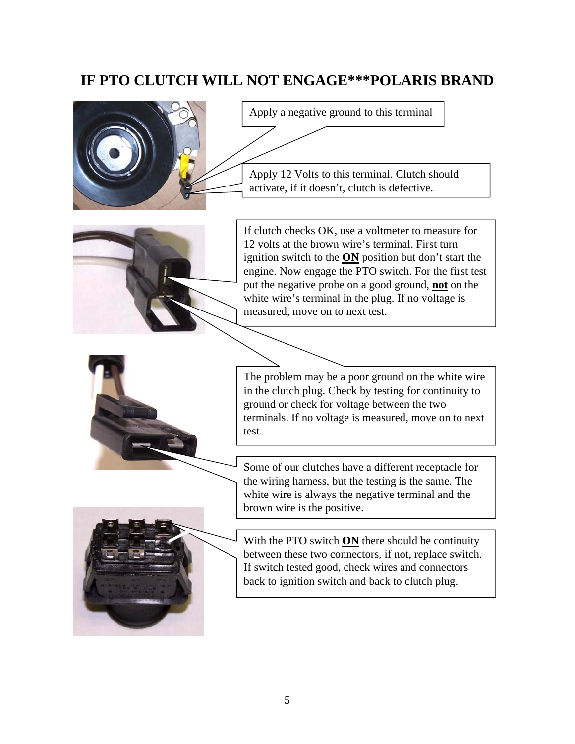### **IF PTO CLUTCH WILL NOT ENGAGE\*\*\*POLARIS BRAND**



Apply a negative ground to this terminal

Apply 12 Volts to this terminal. Clutch should activate, if it doesn't, clutch is defective.



If clutch checks OK, use a voltmeter to measure for 12 volts at the brown wire's terminal. First turn ignition switch to the **ON** position but don't start the engine. Now engage the PTO switch. For the first test put the negative probe on a good ground, **not** on the white wire's terminal in the plug. If no voltage is measured, move on to next test.



The problem may be a poor ground on the white wire in the clutch plug. Check by testing for continuity to ground or check for voltage between the two terminals. If no voltage is measured, move on to next test.

Some of our clutches have a different receptacle for the wiring harness, but the testing is the same. The white wire is always the negative terminal and the brown wire is the positive.



With the PTO switch **ON** there should be continuity between these two connectors, if not, replace switch. If switch tested good, check wires and connectors back to ignition switch and back to clutch plug.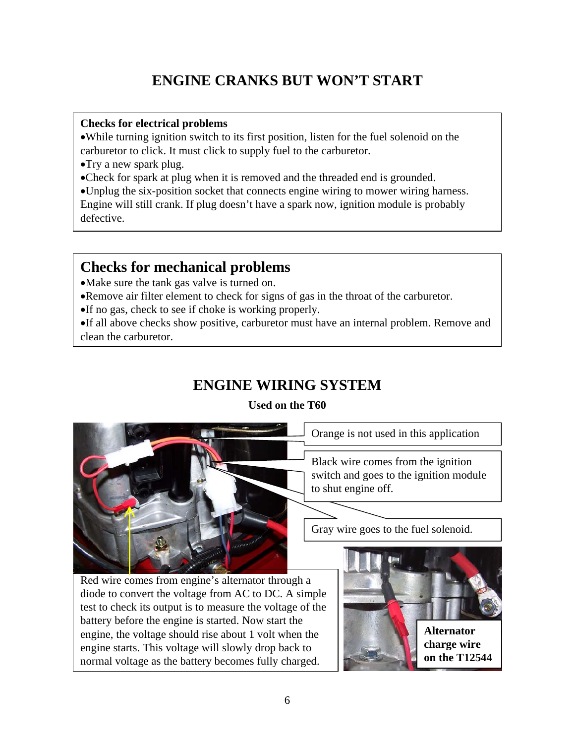### **ENGINE CRANKS BUT WON'T START**

#### **Checks for electrical problems**

•While turning ignition switch to its first position, listen for the fuel solenoid on the carburetor to click. It must click to supply fuel to the carburetor.

- •Try a new spark plug.
- •Check for spark at plug when it is removed and the threaded end is grounded.
- •Unplug the six-position socket that connects engine wiring to mower wiring harness.

Engine will still crank. If plug doesn't have a spark now, ignition module is probably defective.

### **Checks for mechanical problems**

- •Make sure the tank gas valve is turned on.
- •Remove air filter element to check for signs of gas in the throat of the carburetor.
- •If no gas, check to see if choke is working properly.

•If all above checks show positive, carburetor must have an internal problem. Remove and clean the carburetor.

### **ENGINE WIRING SYSTEM**

**Used on the T60**



Orange is not used in this application

Black wire comes from the ignition switch and goes to the ignition module to shut engine off.

Gray wire goes to the fuel solenoid.

Red wire comes from engine's alternator through a diode to convert the voltage from AC to DC. A simple test to check its output is to measure the voltage of the battery before the engine is started. Now start the engine, the voltage should rise about 1 volt when the engine starts. This voltage will slowly drop back to normal voltage as the battery becomes fully charged.

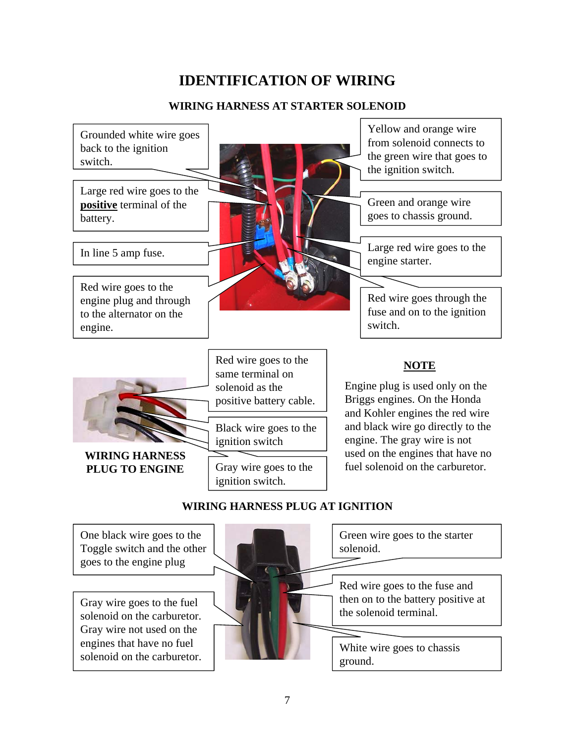### **IDENTIFICATION OF WIRING**

#### **WIRING HARNESS AT STARTER SOLENOID**



One black wire goes to the Toggle switch and the other goes to the engine plug

Gray wire goes to the fuel solenoid on the carburetor. Gray wire not used on the engines that have no fuel solenoid on the carburetor. Green wire goes to the starter solenoid.

Red wire goes to the fuse and then on to the battery positive at the solenoid terminal.

White wire goes to chassis ground.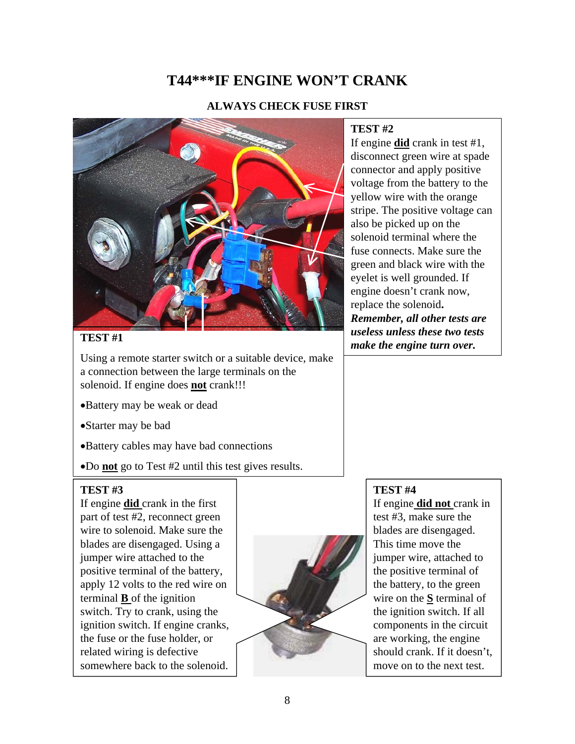### **T44\*\*\*IF ENGINE WON'T CRANK**

#### **ALWAYS CHECK FUSE FIRST**



Using a remote starter switch or a suitable device, make a connection between the large terminals on the solenoid. If engine does **not** crank!!!

- •Battery may be weak or dead
- •Starter may be bad
- •Battery cables may have bad connections
- •Do **not** go to Test #2 until this test gives results.

#### **TEST #3**

If engine **did** crank in the first part of test #2, reconnect green wire to solenoid. Make sure the blades are disengaged. Using a jumper wire attached to the positive terminal of the battery, apply 12 volts to the red wire on terminal **B** of the ignition switch. Try to crank, using the ignition switch. If engine cranks, the fuse or the fuse holder, or related wiring is defective somewhere back to the solenoid.



#### **TEST #2**

If engine **did** crank in test #1, disconnect green wire at spade connector and apply positive voltage from the battery to the yellow wire with the orange stripe. The positive voltage can also be picked up on the solenoid terminal where the fuse connects. Make sure the green and black wire with the eyelet is well grounded. If engine doesn't crank now, replace the solenoid**.** *Remember, all other tests are useless unless these two tests*  **TEST** #1 **and the engine turn over.** *make the engine turn over.* 

#### **TEST #4**

If engine **did not** crank in test #3, make sure the blades are disengaged. This time move the jumper wire, attached to the positive terminal of the battery, to the green wire on the **S** terminal of the ignition switch. If all components in the circuit are working, the engine should crank. If it doesn't, move on to the next test.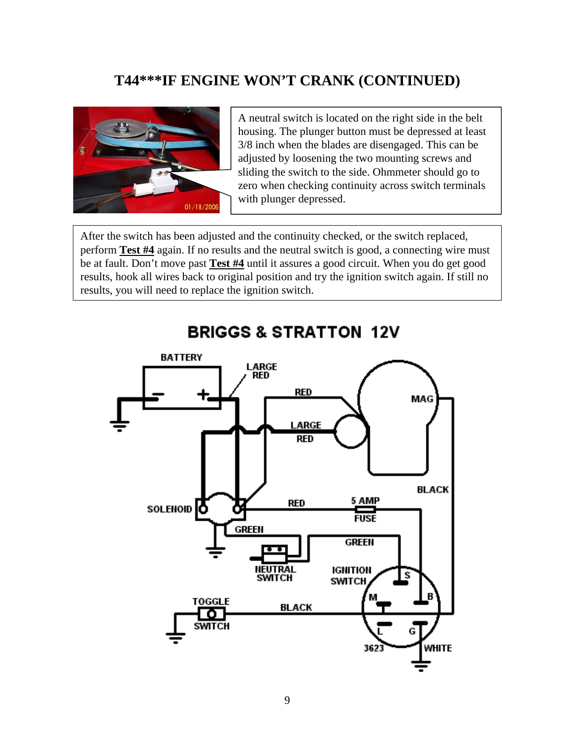### **T44\*\*\*IF ENGINE WON'T CRANK (CONTINUED)**



A neutral switch is located on the right side in the belt housing. The plunger button must be depressed at least 3/8 inch when the blades are disengaged. This can be adjusted by loosening the two mounting screws and sliding the switch to the side. Ohmmeter should go to zero when checking continuity across switch terminals with plunger depressed.

After the switch has been adjusted and the continuity checked, or the switch replaced, perform **Test #4** again. If no results and the neutral switch is good, a connecting wire must be at fault. Don't move past **Test #4** until it assures a good circuit. When you do get good results, hook all wires back to original position and try the ignition switch again. If still no results, you will need to replace the ignition switch.



### **BRIGGS & STRATTON 12V**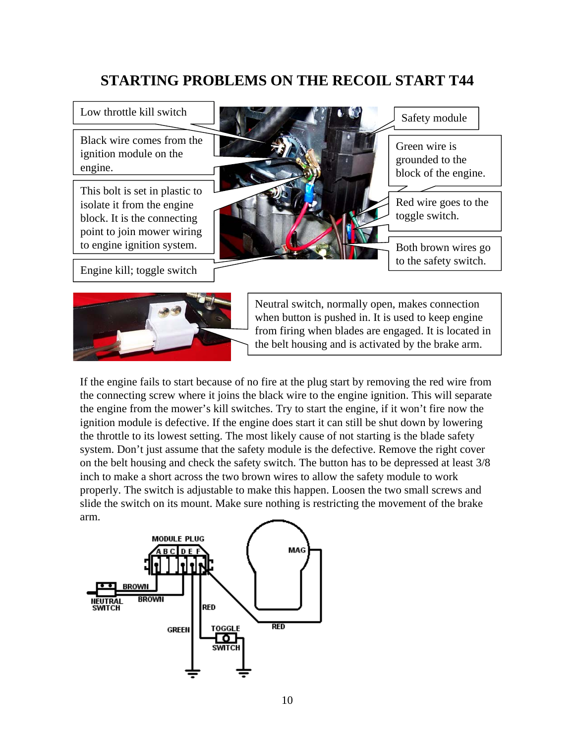### **STARTING PROBLEMS ON THE RECOIL START T44**

Low throttle kill switch

Black wire comes from the ignition module on the engine.

This bolt is set in plastic to isolate it from the engine block. It is the connecting point to join mower wiring to engine ignition system.

Engine kill; toggle switch





Neutral switch, normally open, makes connection when button is pushed in. It is used to keep engine from firing when blades are engaged. It is located in the belt housing and is activated by the brake arm.

If the engine fails to start because of no fire at the plug start by removing the red wire from the connecting screw where it joins the black wire to the engine ignition. This will separate the engine from the mower's kill switches. Try to start the engine, if it won't fire now the ignition module is defective. If the engine does start it can still be shut down by lowering the throttle to its lowest setting. The most likely cause of not starting is the blade safety system. Don't just assume that the safety module is the defective. Remove the right cover on the belt housing and check the safety switch. The button has to be depressed at least 3/8 inch to make a short across the two brown wires to allow the safety module to work properly. The switch is adjustable to make this happen. Loosen the two small screws and slide the switch on its mount. Make sure nothing is restricting the movement of the brake arm.

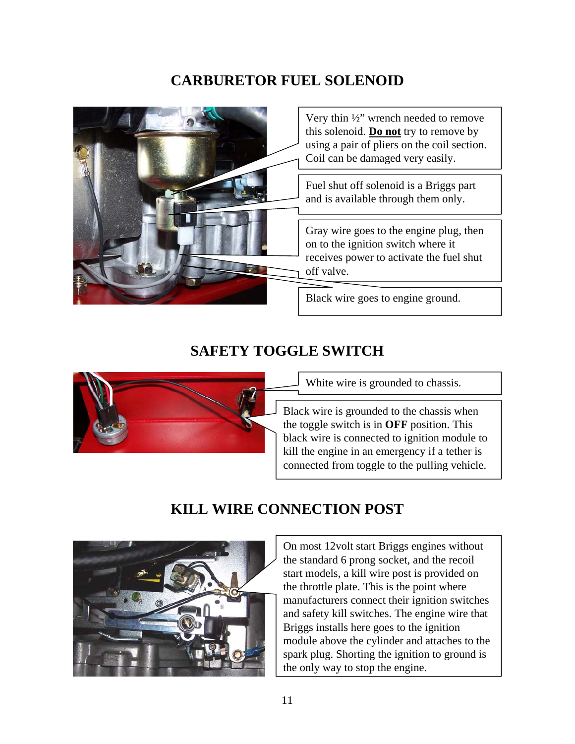### **CARBURETOR FUEL SOLENOID**



### **SAFETY TOGGLE SWITCH**



White wire is grounded to chassis.

Black wire is grounded to the chassis when the toggle switch is in **OFF** position. This black wire is connected to ignition module to kill the engine in an emergency if a tether is connected from toggle to the pulling vehicle.

## **KILL WIRE CONNECTION POST**



On most 12volt start Briggs engines without the standard 6 prong socket, and the recoil start models, a kill wire post is provided on the throttle plate. This is the point where manufacturers connect their ignition switches and safety kill switches. The engine wire that Briggs installs here goes to the ignition module above the cylinder and attaches to the spark plug. Shorting the ignition to ground is the only way to stop the engine.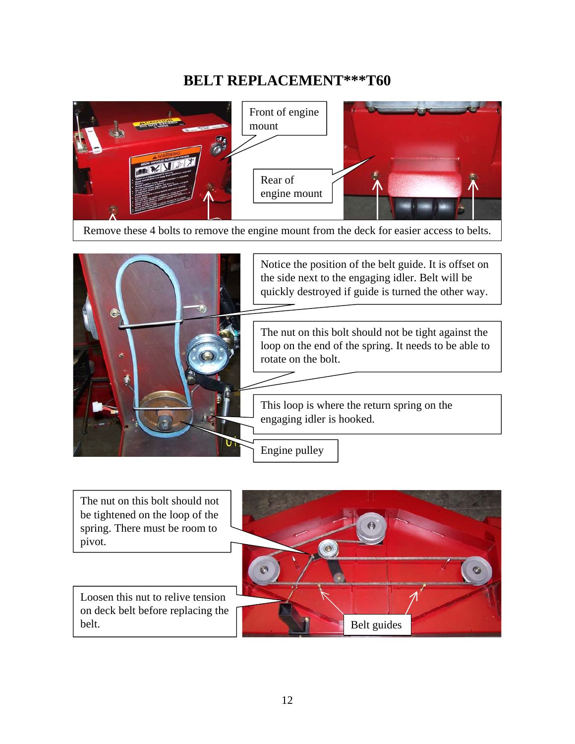### **BELT REPLACEMENT\*\*\*T60**



Remove these 4 bolts to remove the engine mount from the deck for easier access to belts.



Loosen this nut to relive tension on deck belt before replacing the belt. The nut on this bolt should not be tightened on the loop of the spring. There must be room to pivot. Belt guides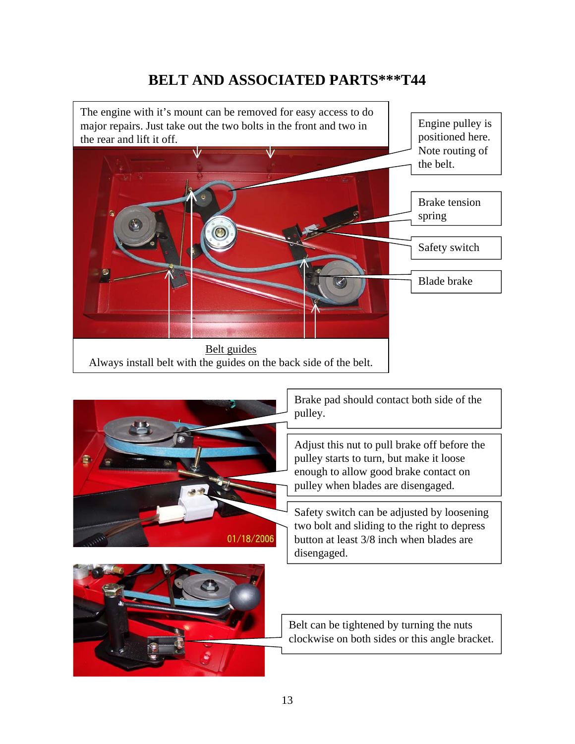### **BELT AND ASSOCIATED PARTS\*\*\*T44**

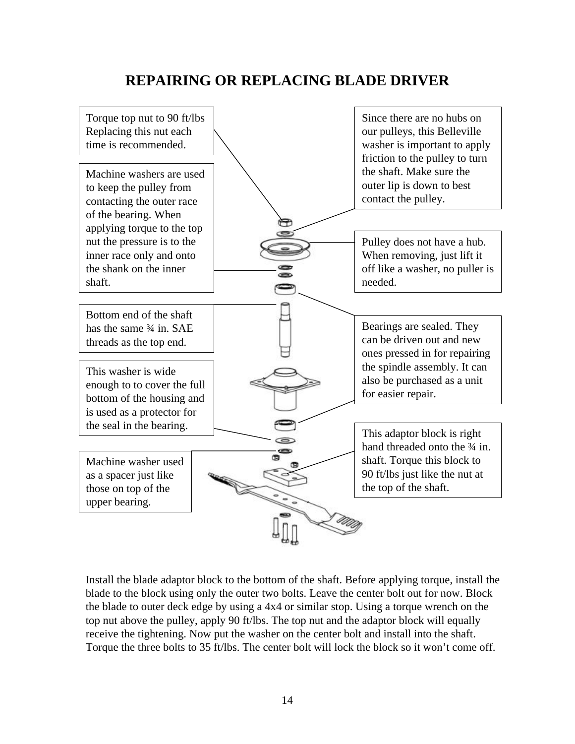### **REPAIRING OR REPLACING BLADE DRIVER**



Install the blade adaptor block to the bottom of the shaft. Before applying torque, install the blade to the block using only the outer two bolts. Leave the center bolt out for now. Block the blade to outer deck edge by using a 4x4 or similar stop. Using a torque wrench on the top nut above the pulley, apply 90 ft/lbs. The top nut and the adaptor block will equally receive the tightening. Now put the washer on the center bolt and install into the shaft. Torque the three bolts to 35 ft/lbs. The center bolt will lock the block so it won't come off.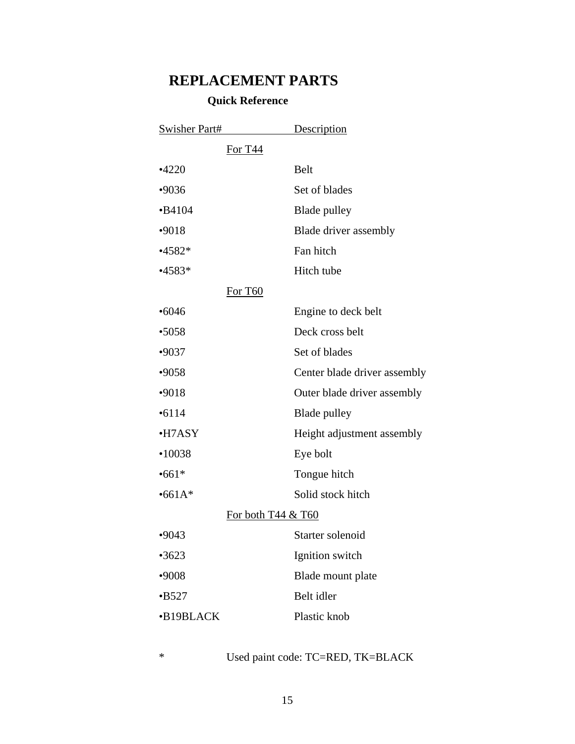### **REPLACEMENT PARTS**

#### **Quick Reference**

| <b>Swisher Part#</b> |                    | Description                  |
|----------------------|--------------------|------------------------------|
|                      | For T44            |                              |
| $-4220$              |                    | <b>Belt</b>                  |
| •9036                |                    | Set of blades                |
| $-B4104$             |                    | Blade pulley                 |
| $-9018$              |                    | Blade driver assembly        |
| $•4582*$             |                    | Fan hitch                    |
| $•4583*$             |                    | Hitch tube                   |
|                      | For T60            |                              |
| •6046                |                    | Engine to deck belt          |
| •5058                |                    | Deck cross belt              |
| $-9037$              |                    | Set of blades                |
| •9058                |                    | Center blade driver assembly |
| $-9018$              |                    | Outer blade driver assembly  |
| •6114                |                    | <b>Blade</b> pulley          |
| •H7ASY               |                    | Height adjustment assembly   |
| •10038               |                    | Eye bolt                     |
| $•661*$              |                    | Tongue hitch                 |
| $•661A*$             |                    | Solid stock hitch            |
|                      | For both T44 & T60 |                              |
| •9043                |                    | Starter solenoid             |
| •3623                |                    | Ignition switch              |
| •9008                |                    | Blade mount plate            |
| $-B527$              |                    | Belt idler                   |
| •B19BLACK            |                    | Plastic knob                 |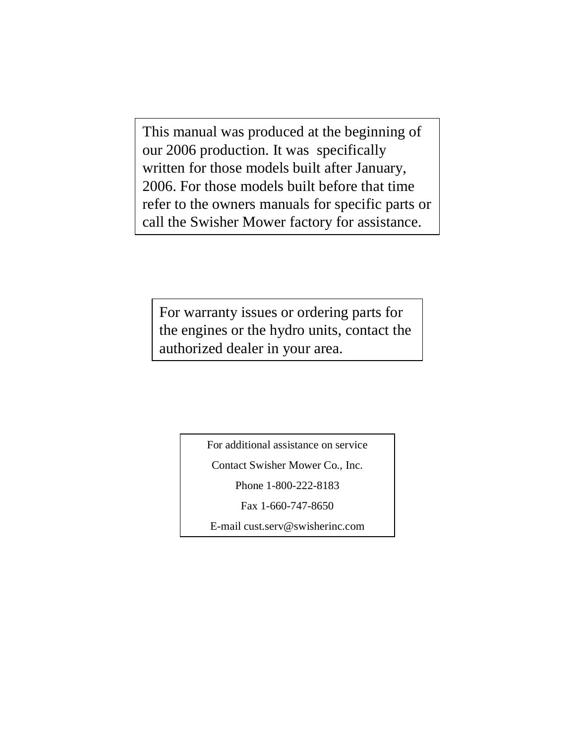This manual was produced at the beginning of our 2006 production. It was specifically written for those models built after January, 2006. For those models built before that time refer to the owners manuals for specific parts or call the Swisher Mower factory for assistance.

For warranty issues or ordering parts for the engines or the hydro units, contact the authorized dealer in your area.

For additional assistance on service

Contact Swisher Mower Co., Inc.

Phone 1-800-222-8183

Fax 1-660-747-8650

E-mail cust.serv@swisherinc.com